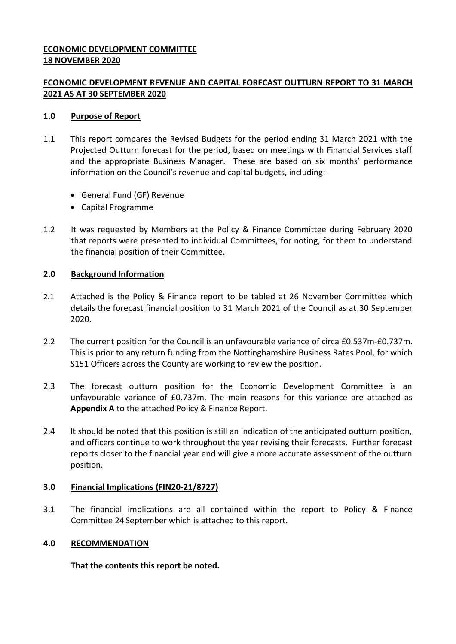## **ECONOMIC DEVELOPMENT COMMITTEE 18 NOVEMBER 2020**

# **ECONOMIC DEVELOPMENT REVENUE AND CAPITAL FORECAST OUTTURN REPORT TO 31 MARCH 2021 AS AT 30 SEPTEMBER 2020**

## **1.0 Purpose of Report**

- 1.1 This report compares the Revised Budgets for the period ending 31 March 2021 with the Projected Outturn forecast for the period, based on meetings with Financial Services staff and the appropriate Business Manager. These are based on six months' performance information on the Council's revenue and capital budgets, including:-
	- General Fund (GF) Revenue
	- Capital Programme
- 1.2 It was requested by Members at the Policy & Finance Committee during February 2020 that reports were presented to individual Committees, for noting, for them to understand the financial position of their Committee.

## **2.0 Background Information**

- 2.1 Attached is the Policy & Finance report to be tabled at 26 November Committee which details the forecast financial position to 31 March 2021 of the Council as at 30 September 2020.
- 2.2 The current position for the Council is an unfavourable variance of circa £0.537m-£0.737m. This is prior to any return funding from the Nottinghamshire Business Rates Pool, for which S151 Officers across the County are working to review the position.
- 2.3 The forecast outturn position for the Economic Development Committee is an unfavourable variance of £0.737m. The main reasons for this variance are attached as **Appendix A** to the attached Policy & Finance Report.
- 2.4 It should be noted that this position is still an indication of the anticipated outturn position, and officers continue to work throughout the year revising their forecasts. Further forecast reports closer to the financial year end will give a more accurate assessment of the outturn position.

### **3.0 Financial Implications (FIN20-21/8727)**

3.1 The financial implications are all contained within the report to Policy & Finance Committee 24 September which is attached to this report.

### **4.0 RECOMMENDATION**

**That the contents this report be noted.**